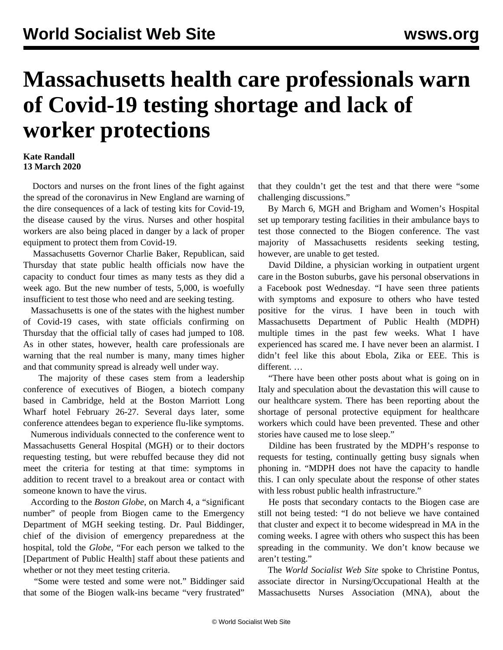## **Massachusetts health care professionals warn of Covid-19 testing shortage and lack of worker protections**

## **Kate Randall 13 March 2020**

 Doctors and nurses on the front lines of the fight against the spread of the coronavirus in New England are warning of the dire consequences of a lack of testing kits for Covid-19, the disease caused by the virus. Nurses and other hospital workers are also being placed in danger by a lack of proper equipment to protect them from Covid-19.

 Massachusetts Governor Charlie Baker, Republican, said Thursday that state public health officials now have the capacity to conduct four times as many tests as they did a week ago. But the new number of tests, 5,000, is woefully insufficient to test those who need and are seeking testing.

 Massachusetts is one of the states with the highest number of Covid-19 cases, with state officials confirming on Thursday that the official tally of cases had jumped to 108. As in other states, however, health care professionals are warning that the real number is many, many times higher and that community spread is already well under way.

 The majority of these cases stem from a leadership conference of executives of Biogen, a biotech company based in Cambridge, held at the Boston Marriott Long Wharf hotel February 26-27. Several days later, some conference attendees began to experience flu-like symptoms.

 Numerous individuals connected to the conference went to Massachusetts General Hospital (MGH) or to their doctors requesting testing, but were rebuffed because they did not meet the criteria for testing at that time: symptoms in addition to recent travel to a breakout area or contact with someone known to have the virus.

 According to the *Boston Globe*, on March 4, a "significant number" of people from Biogen came to the Emergency Department of MGH seeking testing. Dr. Paul Biddinger, chief of the division of emergency preparedness at the hospital, told the *Globe*, "For each person we talked to the [Department of Public Health] staff about these patients and whether or not they meet testing criteria.

 "Some were tested and some were not." Biddinger said that some of the Biogen walk-ins became "very frustrated"

that they couldn't get the test and that there were "some challenging discussions."

 By March 6, MGH and Brigham and Women's Hospital set up temporary testing facilities in their ambulance bays to test those connected to the Biogen conference. The vast majority of Massachusetts residents seeking testing, however, are unable to get tested.

 David Dildine, a physician working in outpatient urgent care in the Boston suburbs, gave his personal observations in a Facebook post Wednesday. "I have seen three patients with symptoms and exposure to others who have tested positive for the virus. I have been in touch with Massachusetts Department of Public Health (MDPH) multiple times in the past few weeks. What I have experienced has scared me. I have never been an alarmist. I didn't feel like this about Ebola, Zika or EEE. This is different. …

 "There have been other posts about what is going on in Italy and speculation about the devastation this will cause to our healthcare system. There has been reporting about the shortage of personal protective equipment for healthcare workers which could have been prevented. These and other stories have caused me to lose sleep."

 Dildine has been frustrated by the MDPH's response to requests for testing, continually getting busy signals when phoning in. "MDPH does not have the capacity to handle this. I can only speculate about the response of other states with less robust public health infrastructure."

 He posts that secondary contacts to the Biogen case are still not being tested: "I do not believe we have contained that cluster and expect it to become widespread in MA in the coming weeks. I agree with others who suspect this has been spreading in the community. We don't know because we aren't testing."

 The *World Socialist Web Site* spoke to Christine Pontus, associate director in Nursing/Occupational Health at the Massachusetts Nurses Association (MNA), about the